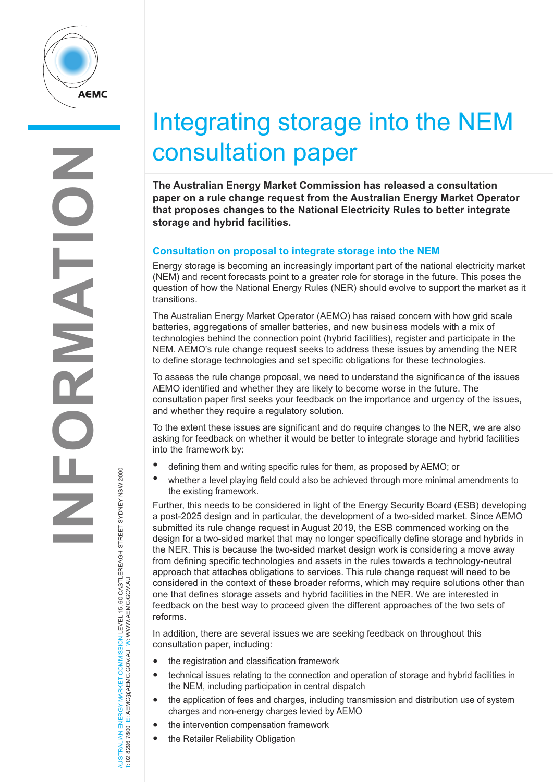

## Integrating storage into the NEM consultation paper

**The Australian Energy Market Commission has released a consultation paper on a rule change request from the Australian Energy Market Operator that proposes changes to the National Electricity Rules to better integrate storage and hybrid facilities.** 

## **Consultation on proposal to integrate storage into the NEM**

Energy storage is becoming an increasingly important part of the national electricity market (NEM) and recent forecasts point to a greater role for storage in the future. This poses the question of how the National Energy Rules (NER) should evolve to support the market as it transitions.

The Australian Energy Market Operator (AEMO) has raised concern with how grid scale batteries, aggregations of smaller batteries, and new business models with a mix of technologies behind the connection point (hybrid facilities), register and participate in the NEM. AEMO's rule change request seeks to address these issues by amending the NER to define storage technologies and set specific obligations for these technologies.

To assess the rule change proposal, we need to understand the significance of the issues AEMO identified and whether they are likely to become worse in the future. The consultation paper first seeks your feedback on the importance and urgency of the issues, and whether they require a regulatory solution.

To the extent these issues are significant and do require changes to the NER, we are also asking for feedback on whether it would be better to integrate storage and hybrid facilities into the framework by:

- defining them and writing specific rules for them, as proposed by AEMO; or
- whether a level playing field could also be achieved through more minimal amendments to the existing framework.

Further, this needs to be considered in light of the Energy Security Board (ESB) developing a post-2025 design and in particular, the development of a two-sided market. Since AEMO submitted its rule change request in August 2019, the ESB commenced working on the design for a two-sided market that may no longer specifically define storage and hybrids in the NER. This is because the two-sided market design work is considering a move away from defining specific technologies and assets in the rules towards a technology-neutral approach that attaches obligations to services. This rule change request will need to be considered in the context of these broader reforms, which may require solutions other than one that defines storage assets and hybrid facilities in the NER. We are interested in feedback on the best way to proceed given the different approaches of the two sets of reforms.

In addition, there are several issues we are seeking feedback on throughout this consultation paper, including:

- the registration and classification framework
- technical issues relating to the connection and operation of storage and hybrid facilities in the NEM, including participation in central dispatch
- the application of fees and charges, including transmission and distribution use of system charges and non-energy charges levied by AEMO
- the intervention compensation framework
- the Retailer Reliability Obligation

NERGY MARKET COMMISSION LEVEL 15, 60 CASTLEREAGH STREET SYDNEY NSW 2000<br>E: AEMC@AEMC.GOV.AU W: WWW.AEMC.GOV.AU AUSTRALIAN ENERGY MARKET COMMISSION LEVEL 15, 60 CASTLEREAGH STREET SYDNEY NSW 2000 T: 02 8296 7800 E: AEMC@AEMC.GOV.AU W: WWW.AEMC.GOV.AU AUSTRALIAN ENERGY MARKET T: 02 8296 7800